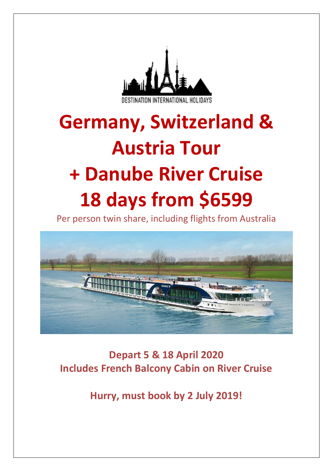

# **Germany, Switzerland & Austria Tour + Danube River Cruise 18 days from \$6599**

Per person twin share, including flights from Australia



**Depart 5 & 18 April 2020 Includes French Balcony Cabin on River Cruise**

**Hurry, must book by 2 July 2019!**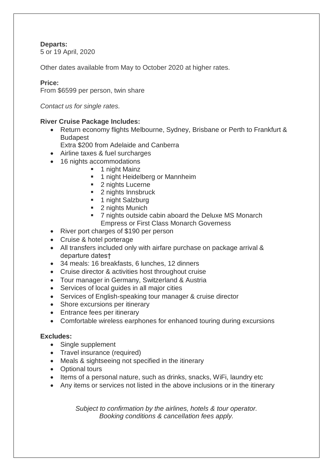## **Departs:**

5 or 19 April, 2020

Other dates available from May to October 2020 at higher rates.

## **Price:**

From \$6599 per person, twin share

*Contact us for single rates.*

## **River Cruise Package Includes:**

• Return economy flights Melbourne, Sydney, Brisbane or Perth to Frankfurt & Budapest

Extra \$200 from Adelaide and Canberra

- Airline taxes & fuel surcharges
- 16 nights accommodations
	- 1 night Mainz
	- **■** 1 night Heidelberg or Mannheim
	- 2 nights Lucerne
	- 2 nights Innsbruck
	- 1 night Salzburg
	- 2 nights Munich
	- 7 nights outside cabin aboard the Deluxe MS Monarch Empress or First Class Monarch Governess
- River port charges of \$190 per person
- Cruise & hotel porterage
- All transfers included only with airfare purchase on package arrival & departure dates†
- 34 meals: 16 breakfasts, 6 lunches, 12 dinners
- Cruise director & activities host throughout cruise
- Tour manager in Germany, Switzerland & Austria
- Services of local guides in all major cities
- Services of English-speaking tour manager & cruise director
- Shore excursions per itinerary
- Entrance fees per itinerary
- Comfortable wireless earphones for enhanced touring during excursions

## **Excludes:**

- Single supplement
- Travel insurance (required)
- Meals & sightseeing not specified in the itinerary
- Optional tours
- Items of a personal nature, such as drinks, snacks, WiFi, laundry etc
- Any items or services not listed in the above inclusions or in the itinerary

*Subject to confirmation by the airlines, hotels & tour operator. Booking conditions & cancellation fees apply.*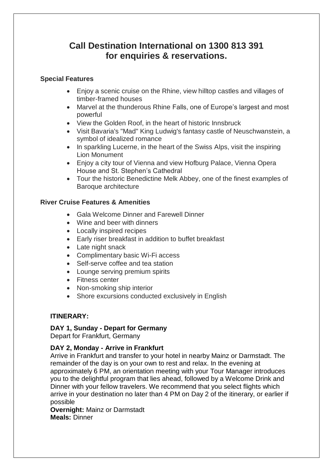# **Call Destination International on 1300 813 391 for enquiries & reservations.**

## **Special Features**

- Enjoy a scenic cruise on the Rhine, view hilltop castles and villages of timber-framed houses
- Marvel at the thunderous Rhine Falls, one of Europe's largest and most powerful
- View the Golden Roof, in the heart of historic Innsbruck
- Visit Bavaria's "Mad" King Ludwig's fantasy castle of Neuschwanstein, a symbol of idealized romance
- In sparkling Lucerne, in the heart of the Swiss Alps, visit the inspiring Lion Monument
- Enjoy a city tour of Vienna and view Hofburg Palace, Vienna Opera House and St. Stephen's Cathedral
- Tour the historic Benedictine Melk Abbey, one of the finest examples of Baroque architecture

## **River Cruise Features & Amenities**

- Gala Welcome Dinner and Farewell Dinner
- Wine and beer with dinners
- Locally inspired recipes
- Early riser breakfast in addition to buffet breakfast
- Late night snack
- Complimentary basic Wi-Fi access
- Self-serve coffee and tea station
- Lounge serving premium spirits
- Fitness center
- Non-smoking ship interior
- Shore excursions conducted exclusively in English

## **ITINERARY:**

#### **DAY 1, Sunday - Depart for Germany**

Depart for Frankfurt, Germany

## **DAY 2, Monday - Arrive in Frankfurt**

Arrive in Frankfurt and transfer to your hotel in nearby Mainz or Darmstadt. The remainder of the day is on your own to rest and relax. In the evening at approximately 6 PM, an orientation meeting with your Tour Manager introduces you to the delightful program that lies ahead, followed by a Welcome Drink and Dinner with your fellow travelers. We recommend that you select flights which arrive in your destination no later than 4 PM on Day 2 of the itinerary, or earlier if possible

**Overnight:** Mainz or Darmstadt **Meals:** Dinner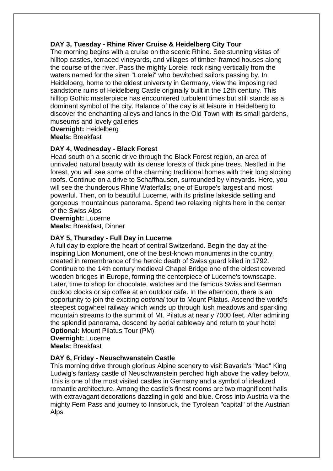## **DAY 3, Tuesday - Rhine River Cruise & Heidelberg City Tour**

The morning begins with a cruise on the scenic Rhine. See stunning vistas of hilltop castles, terraced vineyards, and villages of timber-framed houses along the course of the river. Pass the mighty Lorelei rock rising vertically from the waters named for the siren "Lorelei" who bewitched sailors passing by. In Heidelberg, home to the oldest university in Germany, view the imposing red sandstone ruins of Heidelberg Castle originally built in the 12th century. This hilltop Gothic masterpiece has encountered turbulent times but still stands as a dominant symbol of the city. Balance of the day is at leisure in Heidelberg to discover the enchanting alleys and lanes in the Old Town with its small gardens, museums and lovely galleries

**Overnight:** Heidelberg **Meals:** Breakfast

## **DAY 4, Wednesday - Black Forest**

Head south on a scenic drive through the Black Forest region, an area of unrivaled natural beauty with its dense forests of thick pine trees. Nestled in the forest, you will see some of the charming traditional homes with their long sloping roofs. Continue on a drive to Schaffhausen, surrounded by vineyards. Here, you will see the thunderous Rhine Waterfalls; one of Europe's largest and most powerful. Then, on to beautiful Lucerne, with its pristine lakeside setting and gorgeous mountainous panorama. Spend two relaxing nights here in the center of the Swiss Alps

**Overnight:** Lucerne **Meals:** Breakfast, Dinner

## **DAY 5, Thursday - Full Day in Lucerne**

A full day to explore the heart of central Switzerland. Begin the day at the inspiring Lion Monument, one of the best-known monuments in the country, created in remembrance of the heroic death of Swiss guard killed in 1792. Continue to the 14th century medieval Chapel Bridge one of the oldest covered wooden bridges in Europe, forming the centerpiece of Lucerne's townscape. Later, time to shop for chocolate, watches and the famous Swiss and German cuckoo clocks or sip coffee at an outdoor cafe. In the afternoon, there is an opportunity to join the exciting *optional* tour to Mount Pilatus. Ascend the world's steepest cogwheel railway which winds up through lush meadows and sparkling mountain streams to the summit of Mt. Pilatus at nearly 7000 feet. After admiring the splendid panorama, descend by aerial cableway and return to your hotel **Optional:** Mount Pilatus Tour (PM)

**Overnight:** Lucerne **Meals:** Breakfast

## **DAY 6, Friday - Neuschwanstein Castle**

This morning drive through glorious Alpine scenery to visit Bavaria's "Mad" King Ludwig's fantasy castle of Neuschwanstein perched high above the valley below. This is one of the most visited castles in Germany and a symbol of idealized romantic architecture. Among the castle's finest rooms are two magnificent halls with extravagant decorations dazzling in gold and blue. Cross into Austria via the mighty Fern Pass and journey to Innsbruck, the Tyrolean "capital" of the Austrian Alps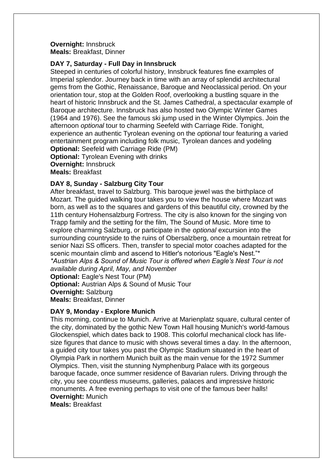#### **Overnight:** Innsbruck **Meals:** Breakfast, Dinner

#### **DAY 7, Saturday - Full Day in Innsbruck**

Steeped in centuries of colorful history, Innsbruck features fine examples of Imperial splendor. Journey back in time with an array of splendid architectural gems from the Gothic, Renaissance, Baroque and Neoclassical period. On your orientation tour, stop at the Golden Roof, overlooking a bustling square in the heart of historic Innsbruck and the St. James Cathedral, a spectacular example of Baroque architecture. Innsbruck has also hosted two Olympic Winter Games (1964 and 1976). See the famous ski jump used in the Winter Olympics. Join the afternoon *optional* tour to charming Seefeld with Carriage Ride. Tonight, experience an authentic Tyrolean evening on the *optional* tour featuring a varied entertainment program including folk music, Tyrolean dances and yodeling **Optional:** Seefeld with Carriage Ride (PM) **Optional:** Tyrolean Evening with drinks **Overnight:** Innsbruck **Meals:** Breakfast

## **DAY 8, Sunday - Salzburg City Tour**

After breakfast, travel to Salzburg. This baroque jewel was the birthplace of Mozart. The guided walking tour takes you to view the house where Mozart was born, as well as to the squares and gardens of this beautiful city, crowned by the 11th century Hohensalzburg Fortress. The city is also known for the singing von Trapp family and the setting for the film, The Sound of Music. More time to explore charming Salzburg, or participate in the *optional* excursion into the surrounding countryside to the ruins of Obersalzberg, once a mountain retreat for senior Nazi SS officers. Then, transfer to special motor coaches adapted for the scenic mountain climb and ascend to Hitler's notorious "Eagle's Nest."\* *\*Austrian Alps & Sound of Music Tour is offered when Eagle's Nest Tour is not available during April, May, and November*

**Optional:** Eagle's Nest Tour (PM) **Optional:** Austrian Alps & Sound of Music Tour **Overnight:** Salzburg **Meals:** Breakfast, Dinner

## **DAY 9, Monday - Explore Munich**

This morning, continue to Munich. Arrive at Marienplatz square, cultural center of the city, dominated by the gothic New Town Hall housing Munich's world-famous Glockenspiel, which dates back to 1908. This colorful mechanical clock has lifesize figures that dance to music with shows several times a day. In the afternoon, a guided city tour takes you past the Olympic Stadium situated in the heart of Olympia Park in northern Munich built as the main venue for the 1972 Summer Olympics. Then, visit the stunning Nymphenburg Palace with its gorgeous baroque facade, once summer residence of Bavarian rulers. Driving through the city, you see countless museums, galleries, palaces and impressive historic monuments. A free evening perhaps to visit one of the famous beer halls! **Overnight:** Munich

**Meals:** Breakfast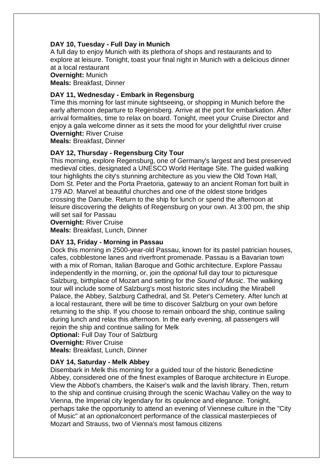## **DAY 10, Tuesday - Full Day in Munich**

A full day to enjoy Munich with its plethora of shops and restaurants and to explore at leisure. Tonight, toast your final night in Munich with a delicious dinner at a local restaurant

#### **Overnight:** Munich

**Meals:** Breakfast, Dinner

#### **DAY 11, Wednesday - Embark in Regensburg**

Time this morning for last minute sightseeing, or shopping in Munich before the early afternoon departure to Regensberg. Arrive at the port for embarkation. After arrival formalities, time to relax on board. Tonight, meet your Cruise Director and enjoy a gala welcome dinner as it sets the mood for your delightful river cruise **Overnight:** River Cruise

**Meals:** Breakfast, Dinner

#### **DAY 12, Thursday - Regensburg City Tour**

This morning, explore Regensburg, one of Germany's largest and best preserved medieval cities, designated a UNESCO World Heritage Site. The guided walking tour highlights the city's stunning architecture as you view the Old Town Hall, Dom St. Peter and the Porta Praetoria, gateway to an ancient Roman fort built in 179 AD. Marvel at beautiful churches and one of the oldest stone bridges crossing the Danube. Return to the ship for lunch or spend the afternoon at leisure discovering the delights of Regensburg on your own. At 3:00 pm, the ship will set sail for Passau

**Overnight:** River Cruise

**Meals:** Breakfast, Lunch, Dinner

#### **DAY 13, Friday - Morning in Passau**

Dock this morning in 2500-year-old Passau, known for its pastel patrician houses, cafes, cobblestone lanes and riverfront promenade. Passau is a Bavarian town with a mix of Roman, Italian Baroque and Gothic architecture. Explore Passau independently in the morning, or, join the *optional* full day tour to picturesque Salzburg, birthplace of Mozart and setting for the *Sound of Music*. The walking tour will include some of Salzburg's most historic sites including the Mirabell Palace, the Abbey, Salzburg Cathedral, and St. Peter's Cemetery. After lunch at a local restaurant, there will be time to discover Salzburg on your own before returning to the ship. If you choose to remain onboard the ship, continue sailing during lunch and relax this afternoon. In the early evening, all passengers will rejoin the ship and continue sailing for Melk

**Optional:** Full Day Tour of Salzburg

**Overnight:** River Cruise

**Meals:** Breakfast, Lunch, Dinner

#### **DAY 14, Saturday - Melk Abbey**

Disembark in Melk this morning for a guided tour of the historic Benedictine Abbey, considered one of the finest examples of Baroque architecture in Europe. View the Abbot's chambers, the Kaiser's walk and the lavish library. Then, return to the ship and continue cruising through the scenic Wachau Valley on the way to Vienna, the Imperial city legendary for its opulence and elegance. Tonight, perhaps take the opportunity to attend an evening of Viennese culture in the "City of Music" at an *optional*concert performance of the classical masterpieces of Mozart and Strauss, two of Vienna's most famous citizens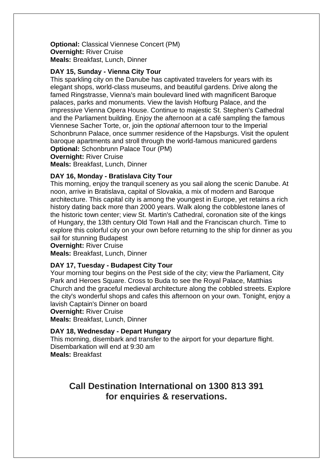**Optional:** Classical Viennese Concert (PM) **Overnight:** River Cruise **Meals:** Breakfast, Lunch, Dinner

#### **DAY 15, Sunday - Vienna City Tour**

This sparkling city on the Danube has captivated travelers for years with its elegant shops, world-class museums, and beautiful gardens. Drive along the famed Ringstrasse, Vienna's main boulevard lined with magnificent Baroque palaces, parks and monuments. View the lavish Hofburg Palace, and the impressive Vienna Opera House. Continue to majestic St. Stephen's Cathedral and the Parliament building. Enjoy the afternoon at a café sampling the famous Viennese Sacher Torte, or, join the *optional* afternoon tour to the Imperial Schonbrunn Palace, once summer residence of the Hapsburgs. Visit the opulent baroque apartments and stroll through the world-famous manicured gardens **Optional:** Schonbrunn Palace Tour (PM)

**Overnight:** River Cruise

**Meals:** Breakfast, Lunch, Dinner

#### **DAY 16, Monday - Bratislava City Tour**

This morning, enjoy the tranquil scenery as you sail along the scenic Danube. At noon, arrive in Bratislava, capital of Slovakia, a mix of modern and Baroque architecture. This capital city is among the youngest in Europe, yet retains a rich history dating back more than 2000 years. Walk along the cobblestone lanes of the historic town center; view St. Martin's Cathedral, coronation site of the kings of Hungary, the 13th century Old Town Hall and the Franciscan church. Time to explore this colorful city on your own before returning to the ship for dinner as you sail for stunning Budapest

**Overnight:** River Cruise

**Meals:** Breakfast, Lunch, Dinner

#### **DAY 17, Tuesday - Budapest City Tour**

Your morning tour begins on the Pest side of the city; view the Parliament, City Park and Heroes Square. Cross to Buda to see the Royal Palace, Matthias Church and the graceful medieval architecture along the cobbled streets. Explore the city's wonderful shops and cafes this afternoon on your own. Tonight, enjoy a lavish Captain's Dinner on board

**Overnight:** River Cruise

**Meals:** Breakfast, Lunch, Dinner

#### **DAY 18, Wednesday - Depart Hungary**

This morning, disembark and transfer to the airport for your departure flight. Disembarkation will end at 9:30 am **Meals:** Breakfast

## **Call Destination International on 1300 813 391 for enquiries & reservations.**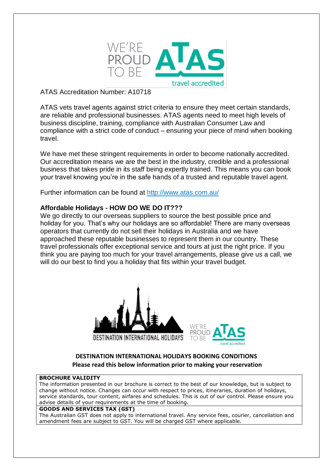

ATAS Accreditation Number: A10718

ATAS vets travel agents against strict criteria to ensure they meet certain standards, are reliable and professional businesses. ATAS agents need to meet high levels of business discipline, training, compliance with Australian Consumer Law and compliance with a strict code of conduct – ensuring your piece of mind when booking travel.

We have met these stringent requirements in order to become nationally accredited. Our accreditation means we are the best in the industry, credible and a professional business that takes pride in its staff being expertly trained. This means you can book your travel knowing you're in the safe hands of a trusted and reputable travel agent.

Further information can be found at<http://www.atas.com.au/>

## **Affordable Holidays - HOW DO WE DO IT???**

We go directly to our overseas suppliers to source the best possible price and holiday for you. That's why our holidays are so affordable! There are many overseas operators that currently do not sell their holidays in Australia and we have approached these reputable businesses to represent them in our country. These travel professionals offer exceptional service and tours at just the right price. If you think you are paying too much for your travel arrangements, please give us a call, we will do our best to find you a holiday that fits within your travel budget.





## **DESTINATION INTERNATIONAL HOLIDAYS BOOKING CONDITIONS Please read this below information prior to making your reservation**

#### **BROCHURE VALIDITY**

The information presented in our brochure is correct to the best of our knowledge, but is subject to change without notice. Changes can occur with respect to prices, itineraries, duration of holidays, service standards, tour content, airfares and schedules. This is out of our control. Please ensure you advise details of your requirements at the time of booking.

#### **GOODS AND SERVICES TAX (GST)**

The Australian GST does not apply to international travel. Any service fees, courier, cancellation and amendment fees are subject to GST. You will be charged GST where applicable.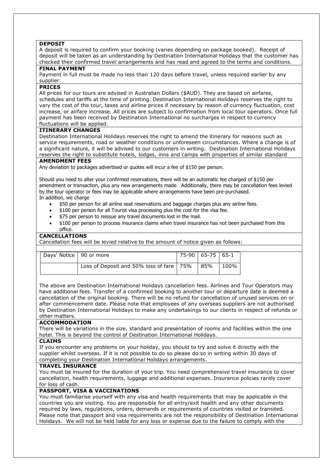#### **DEPOSIT**

A deposit is required to confirm your booking (varies depending on package booked). Receipt of deposit will be taken as an understanding by Destination International Holidays that the customer has checked their confirmed travel arrangements and has read and agreed to the terms and conditions.

#### **FINAL PAYMENT**

Payment in full must be made no less than 120 days before travel, unless required earlier by any supplier.

#### **PRICES**

All prices for our tours are advised in Australian Dollars (\$AUD). They are based on airfares, schedules and tariffs at the time of printing. Destination International Holidays reserves the right to vary the cost of the tour, taxes and airline prices if necessary by reason of currency fluctuation, cost increase, or airfare increase. All prices are subject to confirmation from local tour operators. Once full payment has been received by Destination International no surcharges in respect to currency fluctuations will be applied.

#### **ITINERARY CHANGES**

Destination International Holidays reserves the right to amend the itinerary for reasons such as service requirements, road or weather conditions or unforeseen circumstances. Where a change is of a significant nature, it will be advised to our customers in writing. Destination International Holidays reserves the right to substitute hotels, lodges, inns and camps with properties of similar standard

#### **AMENDMENT FEES**

Any deviation to packages advertised or quotes will incur a fee of \$150 per person.

Should you need to alter your confirmed reservations, there will be an automatic fee charged of \$150 per amendment or transaction, plus any new arrangements made. Additionally, there may be cancellation fees levied by the tour operator or fees may be applicable where arrangements have been pre-purchased. In addition, we charge

- \$50 per person for all airline seat reservations and baggage charges plus any airline fees.
- \$100 per person for all Tourist visa processing plus the cost for the visa fee.
- \$75 per person to reissue any travel documents lost in the mail.
- \$100 per person to process insurance claims when travel insurance has not been purchased from this office.

#### **CANCELLATIONS**

Cancellation fees will be levied relative to the amount of notice given as follows:

| Days' Notice   90 or more |                                            | 75-90   65-75   65-1 |      |
|---------------------------|--------------------------------------------|----------------------|------|
|                           | Loss of Deposit and 50% loss of fare   75% | 85%                  | 100% |

The above are Destination International Holidays cancellation fees. Airlines and Tour Operators may have additional fees. Transfer of a confirmed booking to another tour or departure date is deemed a cancellation of the original booking. There will be no refund for cancellation of unused services on or after commencement date. Please note that employees of any overseas suppliers are not authorised by Destination International Holidays to make any undertakings to our clients in respect of refunds or other matters.

#### **ACCOMMODATION**

There will be variations in the size, standard and presentation of rooms and facilities within the one hotel. This is beyond the control of Destination International Holidays.

#### **CLAIMS**

If you encounter any problems on your holiday, you should to try and solve it directly with the supplier whilst overseas. If it is not possible to do so please do so in writing within 30 days of completing your Destination International Holidays arrangements.

#### **TRAVEL INSURANCE**

You must be insured for the duration of your trip. You need comprehensive travel insurance to cover cancellation, health requirements, luggage and additional expenses. Insurance policies rarely cover for loss of cash.

#### **PASSPORT, VISA & VACCINATIONS**

You must familiarise yourself with any visa and health requirements that may be applicable in the countries you are visiting. You are responsible for all entry/exit health and any other documents required by laws, regulations, orders, demands or requirements of countries visited or transited. Please note that passport and visa requirements are not the responsibility of Destination International Holidays. We will not be held liable for any loss or expense due to the failure to comply with the